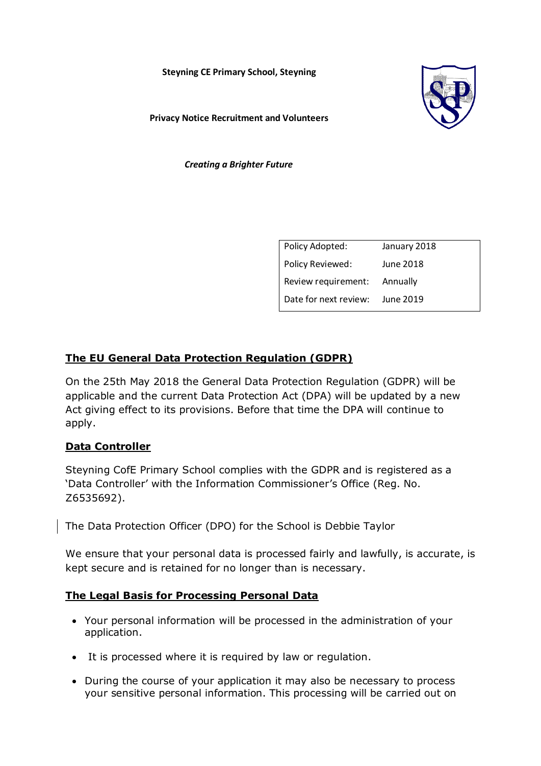**Steyning CE Primary School, Steyning** 



**Privacy Notice Recruitment and Volunteers** 

*Creating a Brighter Future*

| Policy Adopted:       | January 2018 |
|-----------------------|--------------|
| Policy Reviewed:      | June 2018    |
| Review requirement:   | Annually     |
| Date for next review: | June 2019    |

# **The EU General Data Protection Regulation (GDPR)**

On the 25th May 2018 the General Data Protection Regulation (GDPR) will be applicable and the current Data Protection Act (DPA) will be updated by a new Act giving effect to its provisions. Before that time the DPA will continue to apply.

## **Data Controller**

Steyning CofE Primary School complies with the GDPR and is registered as a 'Data Controller' with the Information Commissioner's Office (Reg. No. Z6535692).

The Data Protection Officer (DPO) for the School is Debbie Taylor

We ensure that your personal data is processed fairly and lawfully, is accurate, is kept secure and is retained for no longer than is necessary.

## **The Legal Basis for Processing Personal Data**

- Your personal information will be processed in the administration of your application.
- It is processed where it is required by law or regulation.
- During the course of your application it may also be necessary to process your sensitive personal information. This processing will be carried out on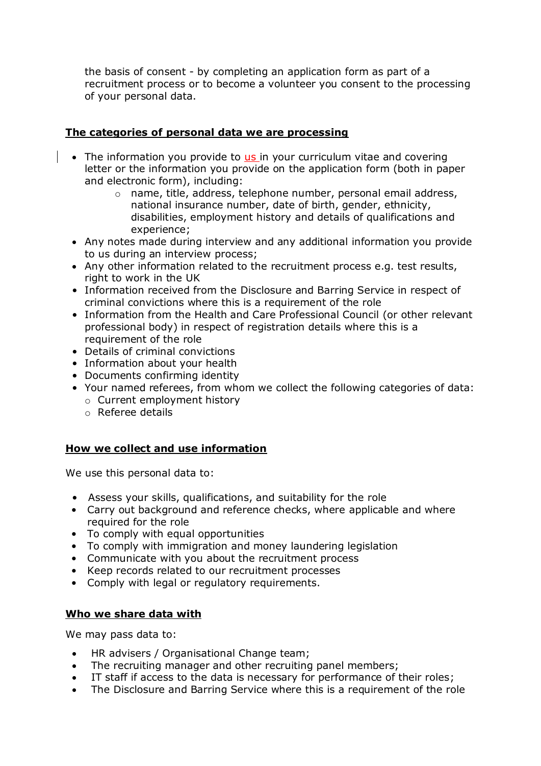the basis of consent - by completing an application form as part of a recruitment process or to become a volunteer you consent to the processing of your personal data.

## **The categories of personal data we are processing**

- The information you provide to us in your curriculum vitae and covering letter or the information you provide on the application form (both in paper and electronic form), including:
	- o name, title, address, telephone number, personal email address, national insurance number, date of birth, gender, ethnicity, disabilities, employment history and details of qualifications and experience;
- Any notes made during interview and any additional information you provide to us during an interview process;
- Any other information related to the recruitment process e.g. test results, right to work in the UK
- Information received from the Disclosure and Barring Service in respect of criminal convictions where this is a requirement of the role
- Information from the Health and Care Professional Council (or other relevant professional body) in respect of registration details where this is a requirement of the role
- Details of criminal convictions
- Information about your health
- Documents confirming identity
- Your named referees, from whom we collect the following categories of data: o Current employment history
	- o Referee details

## **How we collect and use information**

We use this personal data to:

- Assess your skills, qualifications, and suitability for the role
- Carry out background and reference checks, where applicable and where required for the role
- To comply with equal opportunities
- To comply with immigration and money laundering legislation
- Communicate with you about the recruitment process
- Keep records related to our recruitment processes
- Comply with legal or regulatory requirements.

## **Who we share data with**

We may pass data to:

- HR advisers / Organisational Change team;
- The recruiting manager and other recruiting panel members;
- IT staff if access to the data is necessary for performance of their roles;
- The Disclosure and Barring Service where this is a requirement of the role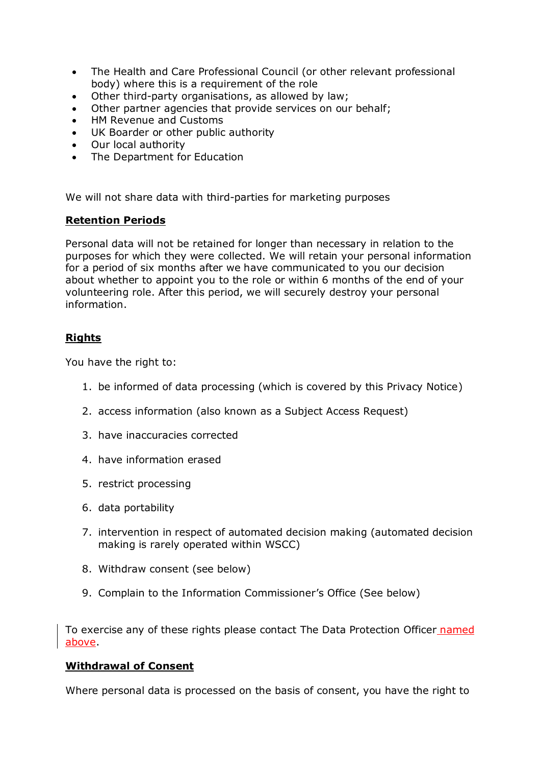- The Health and Care Professional Council (or other relevant professional body) where this is a requirement of the role
- Other third-party organisations, as allowed by law;
- Other partner agencies that provide services on our behalf;
- HM Revenue and Customs
- UK Boarder or other public authority
- Our local authority
- The Department for Education

We will not share data with third-parties for marketing purposes

#### **Retention Periods**

Personal data will not be retained for longer than necessary in relation to the purposes for which they were collected. We will retain your personal information for a period of six months after we have communicated to you our decision about whether to appoint you to the role or within 6 months of the end of your volunteering role. After this period, we will securely destroy your personal information.

#### **Rights**

You have the right to:

- 1. be informed of data processing (which is covered by this Privacy Notice)
- 2. access information (also known as a Subject Access Request)
- 3. have inaccuracies corrected
- 4. have information erased
- 5. restrict processing
- 6. data portability
- 7. intervention in respect of automated decision making (automated decision making is rarely operated within WSCC)
- 8. Withdraw consent (see below)
- 9. Complain to the Information Commissioner's Office (See below)

To exercise any of these rights please contact The Data Protection Officer named above.

#### **Withdrawal of Consent**

Where personal data is processed on the basis of consent, you have the right to